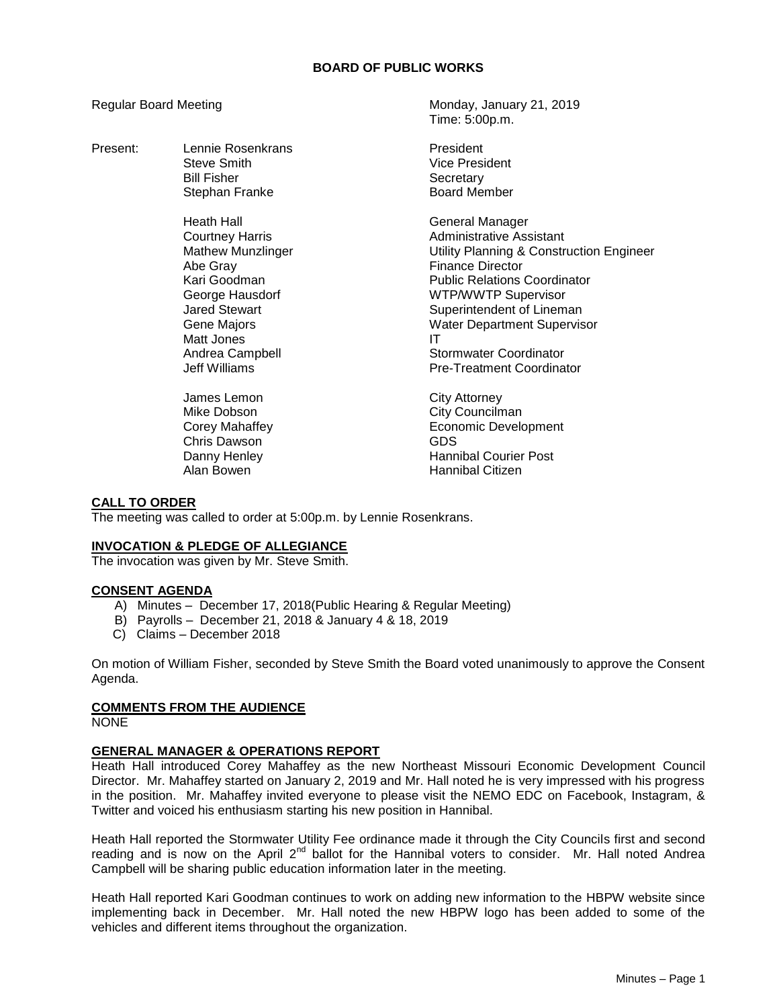## **BOARD OF PUBLIC WORKS**

Present: Lennie Rosenkrans **President** Bill Fisher Secretary

> Heath Hall **Hall** General Manager Abe Gray **Finance Director** Matt Jones **IT**

Chris Dawson GDS

Regular Board Meeting Monday, January 21, 2019 Time: 5:00p.m.

> Steve Smith Vice President Stephan Franke Board Member

Courtney Harris **Administrative Assistant** Mathew Munzlinger Utility Planning & Construction Engineer Kari Goodman **Public Relations Coordinator** George Hausdorf **WIFING ACCOMPANY** Supervisor Jared Stewart **Superintendent of Lineman** Gene Majors Water Department Supervisor Andrea Campbell Stormwater Coordinator Jeff Williams Pre-Treatment Coordinator

James Lemon City Attorney Mike Dobson **City Councilman** Corey Mahaffey **Example 20** Economic Development Danny Henley **Hannibal Courier Post** Alan Bowen **Hannibal Citizen** 

### **CALL TO ORDER**

The meeting was called to order at 5:00p.m. by Lennie Rosenkrans.

# **INVOCATION & PLEDGE OF ALLEGIANCE**

The invocation was given by Mr. Steve Smith.

#### **CONSENT AGENDA**

- A) Minutes December 17, 2018(Public Hearing & Regular Meeting)
- B) Payrolls December 21, 2018 & January 4 & 18, 2019
- C) Claims December 2018

On motion of William Fisher, seconded by Steve Smith the Board voted unanimously to approve the Consent Agenda.

# **COMMENTS FROM THE AUDIENCE**

NONE

# **GENERAL MANAGER & OPERATIONS REPORT**

Heath Hall introduced Corey Mahaffey as the new Northeast Missouri Economic Development Council Director. Mr. Mahaffey started on January 2, 2019 and Mr. Hall noted he is very impressed with his progress in the position. Mr. Mahaffey invited everyone to please visit the NEMO EDC on Facebook, Instagram, & Twitter and voiced his enthusiasm starting his new position in Hannibal.

Heath Hall reported the Stormwater Utility Fee ordinance made it through the City Councils first and second reading and is now on the April  $2^{nd}$  ballot for the Hannibal voters to consider. Mr. Hall noted Andrea Campbell will be sharing public education information later in the meeting.

Heath Hall reported Kari Goodman continues to work on adding new information to the HBPW website since implementing back in December. Mr. Hall noted the new HBPW logo has been added to some of the vehicles and different items throughout the organization.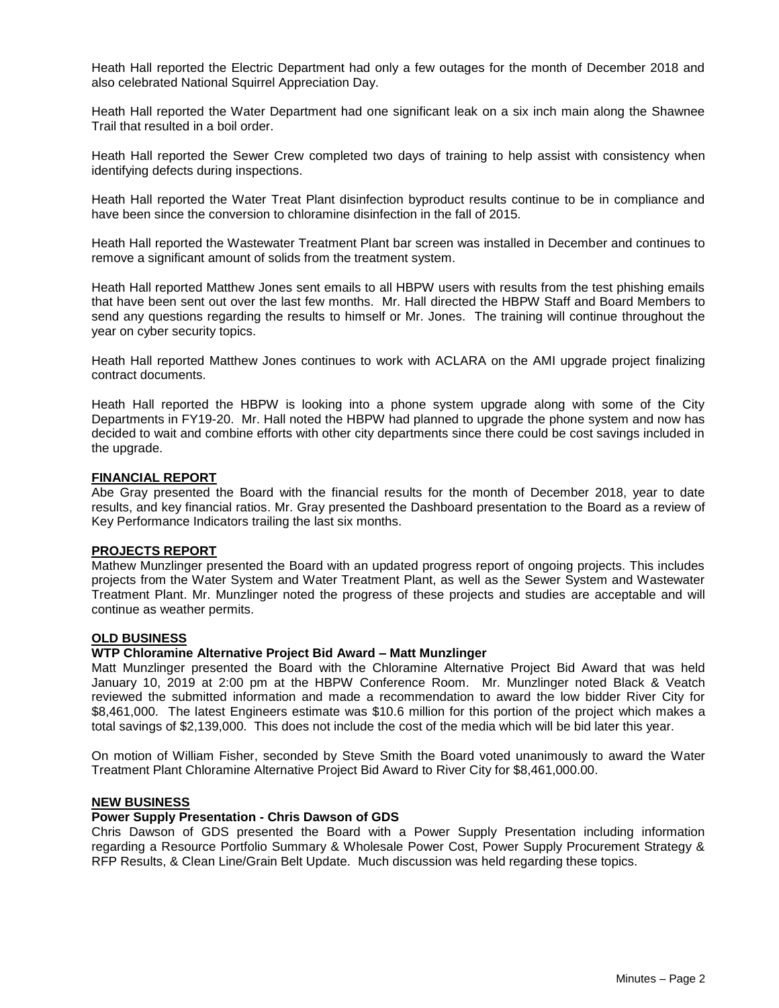Heath Hall reported the Electric Department had only a few outages for the month of December 2018 and also celebrated National Squirrel Appreciation Day.

Heath Hall reported the Water Department had one significant leak on a six inch main along the Shawnee Trail that resulted in a boil order.

Heath Hall reported the Sewer Crew completed two days of training to help assist with consistency when identifying defects during inspections.

Heath Hall reported the Water Treat Plant disinfection byproduct results continue to be in compliance and have been since the conversion to chloramine disinfection in the fall of 2015.

Heath Hall reported the Wastewater Treatment Plant bar screen was installed in December and continues to remove a significant amount of solids from the treatment system.

Heath Hall reported Matthew Jones sent emails to all HBPW users with results from the test phishing emails that have been sent out over the last few months. Mr. Hall directed the HBPW Staff and Board Members to send any questions regarding the results to himself or Mr. Jones. The training will continue throughout the year on cyber security topics.

Heath Hall reported Matthew Jones continues to work with ACLARA on the AMI upgrade project finalizing contract documents.

Heath Hall reported the HBPW is looking into a phone system upgrade along with some of the City Departments in FY19-20. Mr. Hall noted the HBPW had planned to upgrade the phone system and now has decided to wait and combine efforts with other city departments since there could be cost savings included in the upgrade.

#### **FINANCIAL REPORT**

Abe Gray presented the Board with the financial results for the month of December 2018, year to date results, and key financial ratios. Mr. Gray presented the Dashboard presentation to the Board as a review of Key Performance Indicators trailing the last six months.

#### **PROJECTS REPORT**

Mathew Munzlinger presented the Board with an updated progress report of ongoing projects. This includes projects from the Water System and Water Treatment Plant, as well as the Sewer System and Wastewater Treatment Plant. Mr. Munzlinger noted the progress of these projects and studies are acceptable and will continue as weather permits.

# **OLD BUSINESS**

# **WTP Chloramine Alternative Project Bid Award – Matt Munzlinger**

Matt Munzlinger presented the Board with the Chloramine Alternative Project Bid Award that was held January 10, 2019 at 2:00 pm at the HBPW Conference Room. Mr. Munzlinger noted Black & Veatch reviewed the submitted information and made a recommendation to award the low bidder River City for \$8,461,000. The latest Engineers estimate was \$10.6 million for this portion of the project which makes a total savings of \$2,139,000. This does not include the cost of the media which will be bid later this year.

On motion of William Fisher, seconded by Steve Smith the Board voted unanimously to award the Water Treatment Plant Chloramine Alternative Project Bid Award to River City for \$8,461,000.00.

#### **NEW BUSINESS**

#### **Power Supply Presentation - Chris Dawson of GDS**

Chris Dawson of GDS presented the Board with a Power Supply Presentation including information regarding a Resource Portfolio Summary & Wholesale Power Cost, Power Supply Procurement Strategy & RFP Results, & Clean Line/Grain Belt Update. Much discussion was held regarding these topics.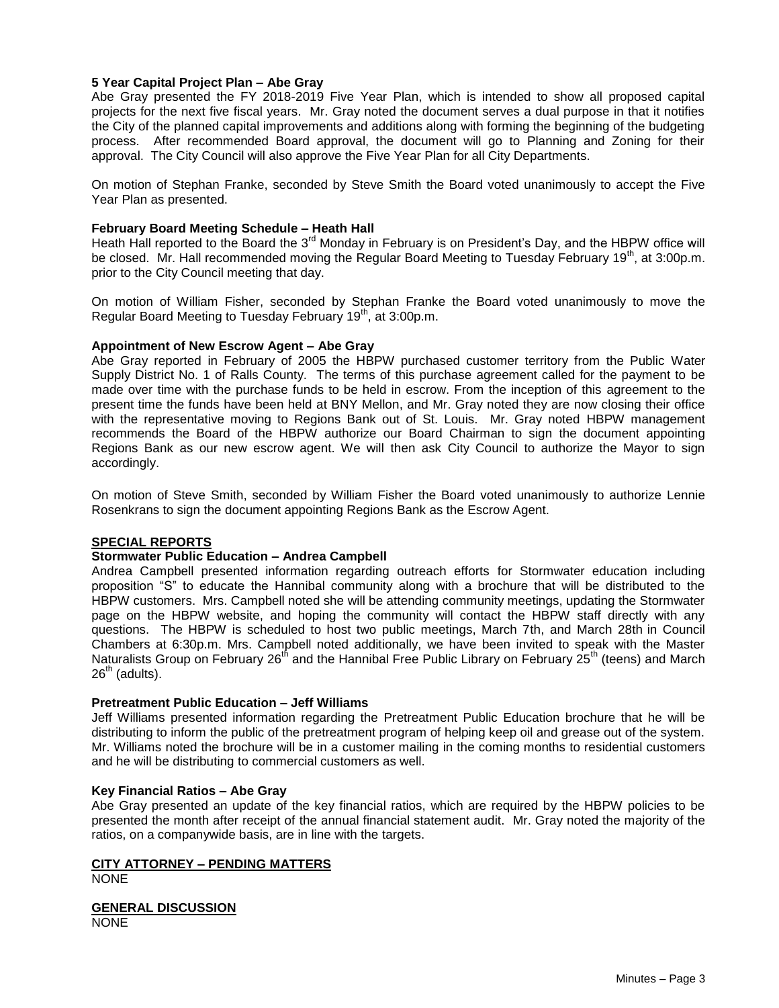# **5 Year Capital Project Plan – Abe Gray**

Abe Gray presented the FY 2018-2019 Five Year Plan, which is intended to show all proposed capital projects for the next five fiscal years. Mr. Gray noted the document serves a dual purpose in that it notifies the City of the planned capital improvements and additions along with forming the beginning of the budgeting process. After recommended Board approval, the document will go to Planning and Zoning for their approval. The City Council will also approve the Five Year Plan for all City Departments.

On motion of Stephan Franke, seconded by Steve Smith the Board voted unanimously to accept the Five Year Plan as presented.

# **February Board Meeting Schedule – Heath Hall**

Heath Hall reported to the Board the 3<sup>rd</sup> Monday in February is on President's Day, and the HBPW office will be closed. Mr. Hall recommended moving the Regular Board Meeting to Tuesday February 19<sup>th</sup>, at 3:00p.m. prior to the City Council meeting that day.

On motion of William Fisher, seconded by Stephan Franke the Board voted unanimously to move the Regular Board Meeting to Tuesday February  $19<sup>th</sup>$ , at 3:00p.m.

### **Appointment of New Escrow Agent – Abe Gray**

Abe Gray reported in February of 2005 the HBPW purchased customer territory from the Public Water Supply District No. 1 of Ralls County. The terms of this purchase agreement called for the payment to be made over time with the purchase funds to be held in escrow. From the inception of this agreement to the present time the funds have been held at BNY Mellon, and Mr. Gray noted they are now closing their office with the representative moving to Regions Bank out of St. Louis. Mr. Gray noted HBPW management recommends the Board of the HBPW authorize our Board Chairman to sign the document appointing Regions Bank as our new escrow agent. We will then ask City Council to authorize the Mayor to sign accordingly.

On motion of Steve Smith, seconded by William Fisher the Board voted unanimously to authorize Lennie Rosenkrans to sign the document appointing Regions Bank as the Escrow Agent.

# **SPECIAL REPORTS**

# **Stormwater Public Education – Andrea Campbell**

Andrea Campbell presented information regarding outreach efforts for Stormwater education including proposition "S" to educate the Hannibal community along with a brochure that will be distributed to the HBPW customers. Mrs. Campbell noted she will be attending community meetings, updating the Stormwater page on the HBPW website, and hoping the community will contact the HBPW staff directly with any questions. The HBPW is scheduled to host two public meetings, March 7th, and March 28th in Council Chambers at 6:30p.m. Mrs. Campbell noted additionally, we have been invited to speak with the Master Naturalists Group on February 26<sup>th</sup> and the Hannibal Free Public Library on February 25<sup>th</sup> (teens) and March  $26<sup>th</sup>$  (adults).

#### **Pretreatment Public Education – Jeff Williams**

Jeff Williams presented information regarding the Pretreatment Public Education brochure that he will be distributing to inform the public of the pretreatment program of helping keep oil and grease out of the system. Mr. Williams noted the brochure will be in a customer mailing in the coming months to residential customers and he will be distributing to commercial customers as well.

# **Key Financial Ratios – Abe Gray**

Abe Gray presented an update of the key financial ratios, which are required by the HBPW policies to be presented the month after receipt of the annual financial statement audit. Mr. Gray noted the majority of the ratios, on a companywide basis, are in line with the targets.

# **CITY ATTORNEY – PENDING MATTERS**

NONE

**GENERAL DISCUSSION** NONE